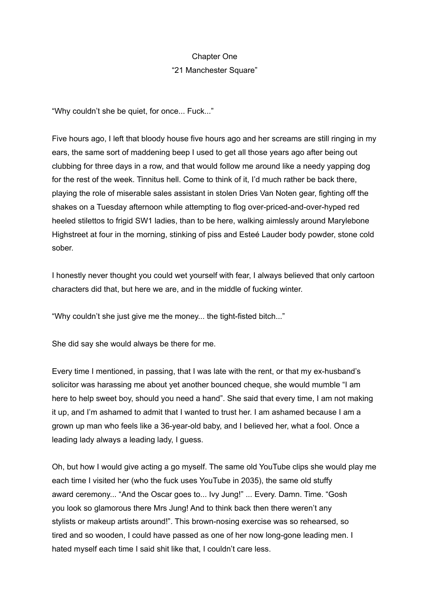## Chapter One

## "21 Manchester Square"

"Why couldn't she be quiet, for once... Fuck..."

Five hours ago, I left that bloody house five hours ago and her screams are still ringing in my ears, the same sort of maddening beep I used to get all those years ago after being out clubbing for three days in a row, and that would follow me around like a needy yapping dog for the rest of the week. Tinnitus hell. Come to think of it, I'd much rather be back there, playing the role of miserable sales assistant in stolen Dries Van Noten gear, fighting off the shakes on a Tuesday afternoon while attempting to flog over-priced-and-over-hyped red heeled stilettos to frigid SW1 ladies, than to be here, walking aimlessly around Marylebone Highstreet at four in the morning, stinking of piss and Esteé Lauder body powder, stone cold sober.

I honestly never thought you could wet yourself with fear, I always believed that only cartoon characters did that, but here we are, and in the middle of fucking winter.

"Why couldn't she just give me the money... the tight-fisted bitch..."

She did say she would always be there for me.

Every time I mentioned, in passing, that I was late with the rent, or that my ex-husband's solicitor was harassing me about yet another bounced cheque, she would mumble "I am here to help sweet boy, should you need a hand". She said that every time, I am not making it up, and I'm ashamed to admit that I wanted to trust her. I am ashamed because I am a grown up man who feels like a 36-year-old baby, and I believed her, what a fool. Once a leading lady always a leading lady, I guess.

Oh, but how I would give acting a go myself. The same old YouTube clips she would play me each time I visited her (who the fuck uses YouTube in 2035), the same old stuffy award ceremony... "And the Oscar goes to... Ivy Jung!" ... Every. Damn. Time. "Gosh you look so glamorous there Mrs Jung! And to think back then there weren't any stylists or makeup artists around!". This brown-nosing exercise was so rehearsed, so tired and so wooden, I could have passed as one of her now long-gone leading men. I hated myself each time I said shit like that, I couldn't care less.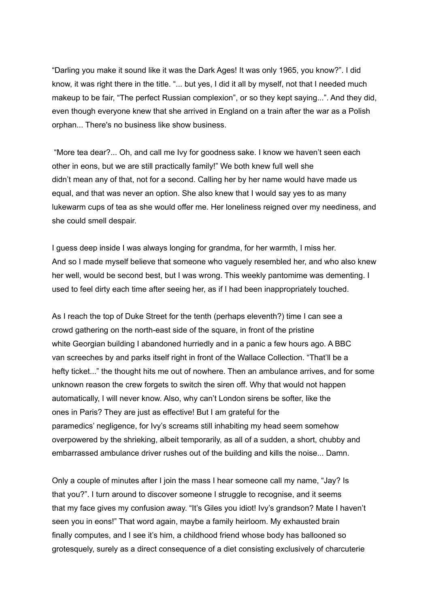"Darling you make it sound like it was the Dark Ages! It was only 1965, you know?". I did know, it was right there in the title. "... but yes, I did it all by myself, not that I needed much makeup to be fair, "The perfect Russian complexion", or so they kept saying...". And they did, even though everyone knew that she arrived in England on a train after the war as a Polish orphan... There's no business like show business.

"More tea dear?... Oh, and call me Ivy for goodness sake. I know we haven't seen each other in eons, but we are still practically family!" We both knew full well she didn't mean any of that, not for a second. Calling her by her name would have made us equal, and that was never an option. She also knew that I would say yes to as many lukewarm cups of tea as she would offer me. Her loneliness reigned over my neediness, and she could smell despair.

I guess deep inside I was always longing for grandma, for her warmth, I miss her. And so I made myself believe that someone who vaguely resembled her, and who also knew her well, would be second best, but I was wrong. This weekly pantomime was dementing. I used to feel dirty each time after seeing her, as if I had been inappropriately touched.

As I reach the top of Duke Street for the tenth (perhaps eleventh?) time I can see a crowd gathering on the north-east side of the square, in front of the pristine white Georgian building I abandoned hurriedly and in a panic a few hours ago. A BBC van screeches by and parks itself right in front of the Wallace Collection. "That'll be a hefty ticket..." the thought hits me out of nowhere. Then an ambulance arrives, and for some unknown reason the crew forgets to switch the siren off. Why that would not happen automatically, I will never know. Also, why can't London sirens be softer, like the ones in Paris? They are just as effective! But I am grateful for the paramedics' negligence, for Ivy's screams still inhabiting my head seem somehow overpowered by the shrieking, albeit temporarily, as all of a sudden, a short, chubby and embarrassed ambulance driver rushes out of the building and kills the noise... Damn.

Only a couple of minutes after I join the mass I hear someone call my name, "Jay? Is that you?". I turn around to discover someone I struggle to recognise, and it seems that my face gives my confusion away. "It's Giles you idiot! Ivy's grandson? Mate I haven't seen you in eons!" That word again, maybe a family heirloom. My exhausted brain finally computes, and I see it's him, a childhood friend whose body has ballooned so grotesquely, surely as a direct consequence of a diet consisting exclusively of charcuterie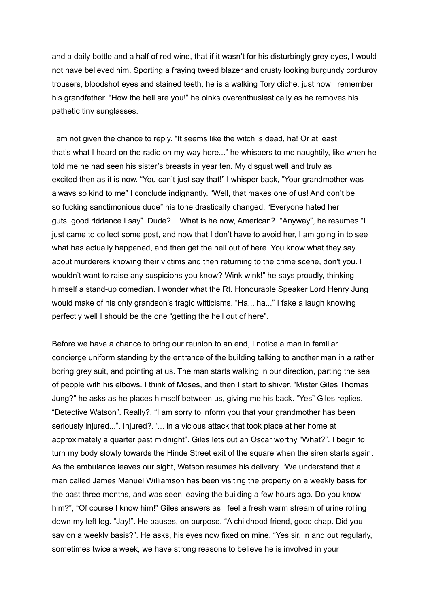and a daily bottle and a half of red wine, that if it wasn't for his disturbingly grey eyes, I would not have believed him. Sporting a fraying tweed blazer and crusty looking burgundy corduroy trousers, bloodshot eyes and stained teeth, he is a walking Tory cliche, just how I remember his grandfather. "How the hell are you!" he oinks overenthusiastically as he removes his pathetic tiny sunglasses.

I am not given the chance to reply. "It seems like the witch is dead, ha! Or at least that's what I heard on the radio on my way here..." he whispers to me naughtily, like when he told me he had seen his sister's breasts in year ten. My disgust well and truly as excited then as it is now. "You can't just say that!" I whisper back, "Your grandmother was always so kind to me" I conclude indignantly. "Well, that makes one of us! And don't be so fucking sanctimonious dude" his tone drastically changed, "Everyone hated her guts, good riddance I say". Dude?... What is he now, American?. "Anyway", he resumes "I just came to collect some post, and now that I don't have to avoid her, I am going in to see what has actually happened, and then get the hell out of here. You know what they say about murderers knowing their victims and then returning to the crime scene, don't you. I wouldn't want to raise any suspicions you know? Wink wink!" he says proudly, thinking himself a stand-up comedian. I wonder what the Rt. Honourable Speaker Lord Henry Jung would make of his only grandson's tragic witticisms. "Ha... ha..." I fake a laugh knowing perfectly well I should be the one "getting the hell out of here".

Before we have a chance to bring our reunion to an end, I notice a man in familiar concierge uniform standing by the entrance of the building talking to another man in a rather boring grey suit, and pointing at us. The man starts walking in our direction, parting the sea of people with his elbows. I think of Moses, and then I start to shiver. "Mister Giles Thomas Jung?" he asks as he places himself between us, giving me his back. "Yes" Giles replies. "Detective Watson". Really?. "I am sorry to inform you that your grandmother has been seriously injured...". Injured?. '... in a vicious attack that took place at her home at approximately a quarter past midnight". Giles lets out an Oscar worthy "What?". I begin to turn my body slowly towards the Hinde Street exit of the square when the siren starts again. As the ambulance leaves our sight, Watson resumes his delivery. "We understand that a man called James Manuel Williamson has been visiting the property on a weekly basis for the past three months, and was seen leaving the building a few hours ago. Do you know him?", "Of course I know him!" Giles answers as I feel a fresh warm stream of urine rolling down my left leg. "Jay!". He pauses, on purpose. "A childhood friend, good chap. Did you say on a weekly basis?". He asks, his eyes now fixed on mine. "Yes sir, in and out regularly, sometimes twice a week, we have strong reasons to believe he is involved in your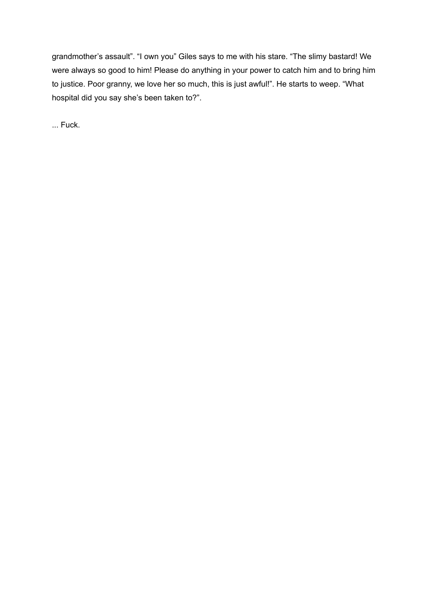grandmother's assault". "I own you" Giles says to me with his stare. "The slimy bastard! We were always so good to him! Please do anything in your power to catch him and to bring him to justice. Poor granny, we love her so much, this is just awful!". He starts to weep. "What hospital did you say she's been taken to?".

... Fuck.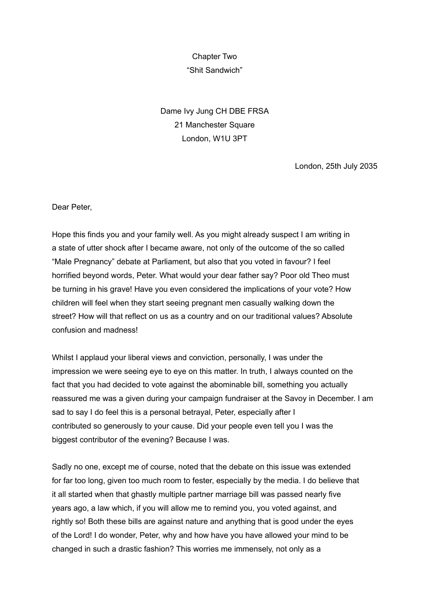## Chapter Two "Shit Sandwich"

Dame Ivy Jung CH DBE FRSA 21 Manchester Square London, W1U 3PT

London, 25th July 2035

Dear Peter,

Hope this finds you and your family well. As you might already suspect I am writing in a state of utter shock after I became aware, not only of the outcome of the so called "Male Pregnancy" debate at Parliament, but also that you voted in favour? I feel horrified beyond words, Peter. What would your dear father say? Poor old Theo must be turning in his grave! Have you even considered the implications of your vote? How children will feel when they start seeing pregnant men casually walking down the street? How will that reflect on us as a country and on our traditional values? Absolute confusion and madness!

Whilst I applaud your liberal views and conviction, personally, I was under the impression we were seeing eye to eye on this matter. In truth, I always counted on the fact that you had decided to vote against the abominable bill, something you actually reassured me was a given during your campaign fundraiser at the Savoy in December. I am sad to say I do feel this is a personal betrayal, Peter, especially after I contributed so generously to your cause. Did your people even tell you I was the biggest contributor of the evening? Because I was.

Sadly no one, except me of course, noted that the debate on this issue was extended for far too long, given too much room to fester, especially by the media. I do believe that it all started when that ghastly multiple partner marriage bill was passed nearly five years ago, a law which, if you will allow me to remind you, you voted against, and rightly so! Both these bills are against nature and anything that is good under the eyes of the Lord! I do wonder, Peter, why and how have you have allowed your mind to be changed in such a drastic fashion? This worries me immensely, not only as a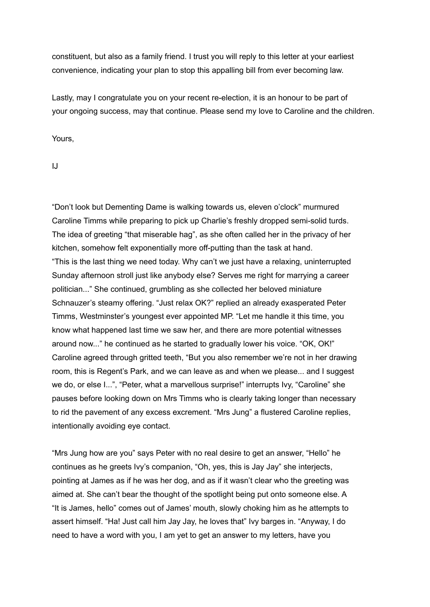constituent, but also as a family friend. I trust you will reply to this letter at your earliest convenience, indicating your plan to stop this appalling bill from ever becoming law.

Lastly, may I congratulate you on your recent re-election, it is an honour to be part of your ongoing success, may that continue. Please send my love to Caroline and the children.

Yours,

IJ

"Don't look but Dementing Dame is walking towards us, eleven o'clock" murmured Caroline Timms while preparing to pick up Charlie's freshly dropped semi-solid turds. The idea of greeting "that miserable hag", as she often called her in the privacy of her kitchen, somehow felt exponentially more off-putting than the task at hand. "This is the last thing we need today. Why can't we just have a relaxing, uninterrupted Sunday afternoon stroll just like anybody else? Serves me right for marrying a career politician..." She continued, grumbling as she collected her beloved miniature Schnauzer's steamy offering. "Just relax OK?" replied an already exasperated Peter Timms, Westminster's youngest ever appointed MP. "Let me handle it this time, you know what happened last time we saw her, and there are more potential witnesses around now..." he continued as he started to gradually lower his voice. "OK, OK!" Caroline agreed through gritted teeth, "But you also remember we're not in her drawing room, this is Regent's Park, and we can leave as and when we please... and I suggest we do, or else I...", "Peter, what a marvellous surprise!" interrupts Ivy, "Caroline" she pauses before looking down on Mrs Timms who is clearly taking longer than necessary to rid the pavement of any excess excrement. "Mrs Jung" a flustered Caroline replies, intentionally avoiding eye contact.

"Mrs Jung how are you" says Peter with no real desire to get an answer, "Hello" he continues as he greets Ivy's companion, "Oh, yes, this is Jay Jay" she interjects, pointing at James as if he was her dog, and as if it wasn't clear who the greeting was aimed at. She can't bear the thought of the spotlight being put onto someone else. A "It is James, hello" comes out of James' mouth, slowly choking him as he attempts to assert himself. "Ha! Just call him Jay Jay, he loves that" Ivy barges in. "Anyway, I do need to have a word with you, I am yet to get an answer to my letters, have you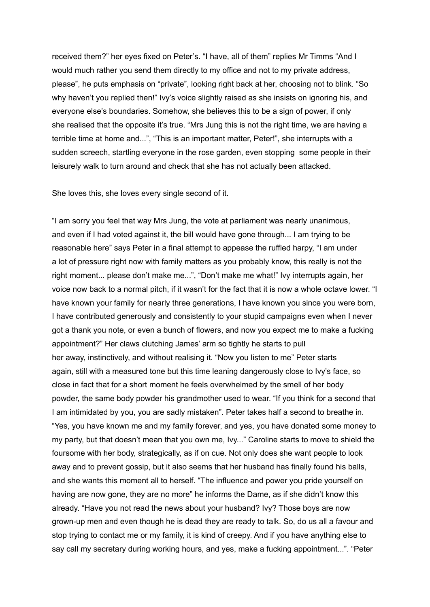received them?" her eyes fixed on Peter's. "I have, all of them" replies Mr Timms "And I would much rather you send them directly to my office and not to my private address, please", he puts emphasis on "private", looking right back at her, choosing not to blink. "So why haven't you replied then!" Ivy's voice slightly raised as she insists on ignoring his, and everyone else's boundaries. Somehow, she believes this to be a sign of power, if only she realised that the opposite it's true. "Mrs Jung this is not the right time, we are having a terrible time at home and...", "This is an important matter, Peter!", she interrupts with a sudden screech, startling everyone in the rose garden, even stopping some people in their leisurely walk to turn around and check that she has not actually been attacked.

She loves this, she loves every single second of it.

"I am sorry you feel that way Mrs Jung, the vote at parliament was nearly unanimous, and even if I had voted against it, the bill would have gone through... I am trying to be reasonable here" says Peter in a final attempt to appease the ruffled harpy, "I am under a lot of pressure right now with family matters as you probably know, this really is not the right moment... please don't make me...", "Don't make me what!" Ivy interrupts again, her voice now back to a normal pitch, if it wasn't for the fact that it is now a whole octave lower. "I have known your family for nearly three generations, I have known you since you were born, I have contributed generously and consistently to your stupid campaigns even when I never got a thank you note, or even a bunch of flowers, and now you expect me to make a fucking appointment?" Her claws clutching James' arm so tightly he starts to pull her away, instinctively, and without realising it. "Now you listen to me" Peter starts again, still with a measured tone but this time leaning dangerously close to Ivy's face, so close in fact that for a short moment he feels overwhelmed by the smell of her body powder, the same body powder his grandmother used to wear. "If you think for a second that I am intimidated by you, you are sadly mistaken". Peter takes half a second to breathe in. "Yes, you have known me and my family forever, and yes, you have donated some money to my party, but that doesn't mean that you own me, Ivy..." Caroline starts to move to shield the foursome with her body, strategically, as if on cue. Not only does she want people to look away and to prevent gossip, but it also seems that her husband has finally found his balls, and she wants this moment all to herself. "The influence and power you pride yourself on having are now gone, they are no more" he informs the Dame, as if she didn't know this already. "Have you not read the news about your husband? Ivy? Those boys are now grown-up men and even though he is dead they are ready to talk. So, do us all a favour and stop trying to contact me or my family, it is kind of creepy. And if you have anything else to say call my secretary during working hours, and yes, make a fucking appointment...". "Peter